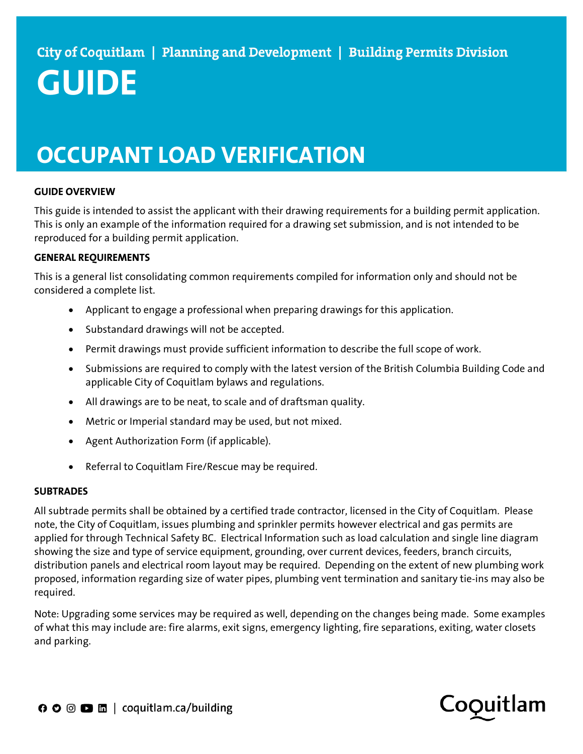# **GUIDE**

### **OCCUPANT LOAD VERIFICATION**

#### **GUIDE OVERVIEW**

This guide is intended to assist the applicant with their drawing requirements for a building permit application. This is only an example of the information required for a drawing set submission, and is not intended to be reproduced for a building permit application.

#### **GENERAL REQUIREMENTS**

This is a general list consolidating common requirements compiled for information only and should not be considered a complete list.

- Applicant to engage a professional when preparing drawings for this application.
- Substandard drawings will not be accepted.
- Permit drawings must provide sufficient information to describe the full scope of work.
- Submissions are required to comply with the latest version of the British Columbia Building Code and applicable City of Coquitlam bylaws and regulations.
- All drawings are to be neat, to scale and of draftsman quality.
- Metric or Imperial standard may be used, but not mixed.
- Agent Authorization Form (if applicable).
- Referral to Coquitlam Fire/Rescue may be required.

#### **SUBTRADES**

All subtrade permits shall be obtained by a certified trade contractor, licensed in the City of Coquitlam. Please note, the City of Coquitlam, issues plumbing and sprinkler permits however electrical and gas permits are applied for through Technical Safety BC. Electrical Information such as load calculation and single line diagram showing the size and type of service equipment, grounding, over current devices, feeders, branch circuits, distribution panels and electrical room layout may be required. Depending on the extent of new plumbing work proposed, information regarding size of water pipes, plumbing vent termination and sanitary tie-ins may also be required.

Note: Upgrading some services may be required as well, depending on the changes being made. Some examples of what this may include are: fire alarms, exit signs, emergency lighting, fire separations, exiting, water closets and parking.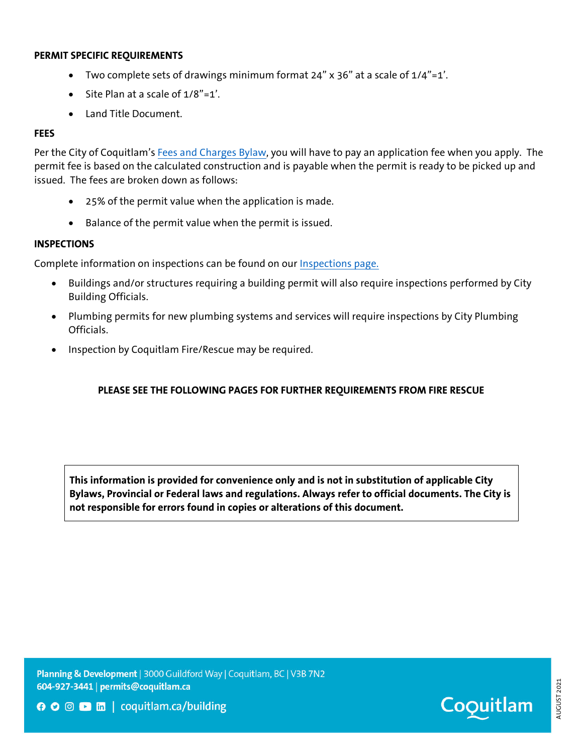#### **PERMIT SPECIFIC REQUIREMENTS**

- Two complete sets of drawings minimum format 24" x 36" at a scale of 1/4"=1'.
- Site Plan at a scale of 1/8"=1'.
- Land Title Document.

#### **FEES**

Per the City of Coquitlam's Fees and Charges Bylaw, you will have to pay an application fee when you apply. The permit fee is based on the calculated construction and is payable when the permit is ready to be picked up and issued. The fees are broken down as follows:

- 25% of the permit value when the application is made.
- Balance of the permit value when the permit is issued.

#### **INSPECTIONS**

Complete information on inspections can be found on our Inspections page.

- Buildings and/or structures requiring a building permit will also require inspections performed by City Building Officials.
- Plumbing permits for new plumbing systems and services will require inspections by City Plumbing Officials.
- Inspection by Coquitlam Fire/Rescue may be required.

#### **PLEASE SEE THE FOLLOWING PAGES FOR FURTHER REQUIREMENTS FROM FIRE RESCUE**

**This information is provided for convenience only and is not in substitution of applicable City Bylaws, Provincial or Federal laws and regulations. Always refer to official documents. The City is not responsible for errors found in copies or alterations of this document.** 

Planning & Development | 3000 Guildford Way | Coquitlam, BC | V3B 7N2 604-927-3441 | permits@coquitlam.ca



**O** ⊙ □ m | coquitlam.ca/building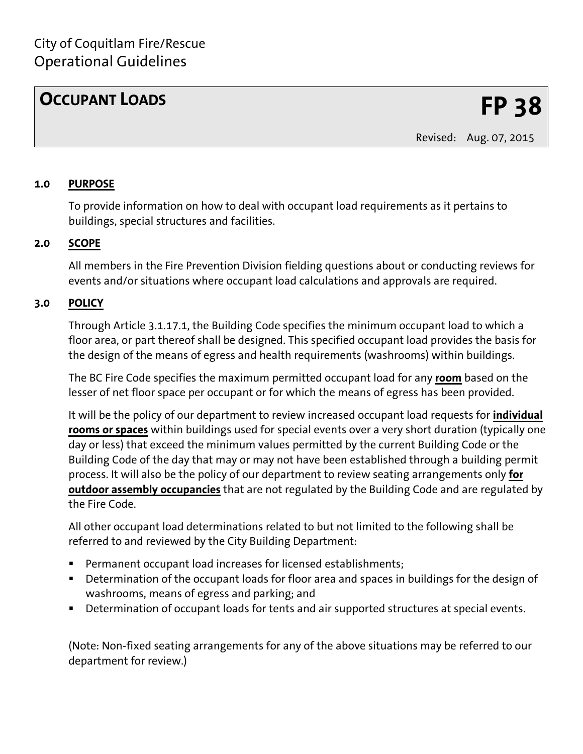Revised: Aug. 07, 2015

#### **1.0 PURPOSE**

To provide information on how to deal with occupant load requirements as it pertains to buildings, special structures and facilities.

#### **2.0 SCOPE**

All members in the Fire Prevention Division fielding questions about or conducting reviews for events and/or situations where occupant load calculations and approvals are required.

#### **3.0 POLICY**

Through Article 3.1.17.1, the Building Code specifies the minimum occupant load to which a floor area, or part thereof shall be designed. This specified occupant load provides the basis for the design of the means of egress and health requirements (washrooms) within buildings.

The BC Fire Code specifies the maximum permitted occupant load for any **room** based on the lesser of net floor space per occupant or for which the means of egress has been provided.

It will be the policy of our department to review increased occupant load requests for **individual rooms or spaces** within buildings used for special events over a very short duration (typically one day or less) that exceed the minimum values permitted by the current Building Code or the Building Code of the day that may or may not have been established through a building permit process. It will also be the policy of our department to review seating arrangements only **for outdoor assembly occupancies** that are not regulated by the Building Code and are regulated by the Fire Code.

All other occupant load determinations related to but not limited to the following shall be referred to and reviewed by the City Building Department:

- Permanent occupant load increases for licensed establishments;
- Determination of the occupant loads for floor area and spaces in buildings for the design of washrooms, means of egress and parking; and
- Determination of occupant loads for tents and air supported structures at special events.

(Note: Non-fixed seating arrangements for any of the above situations may be referred to our department for review.)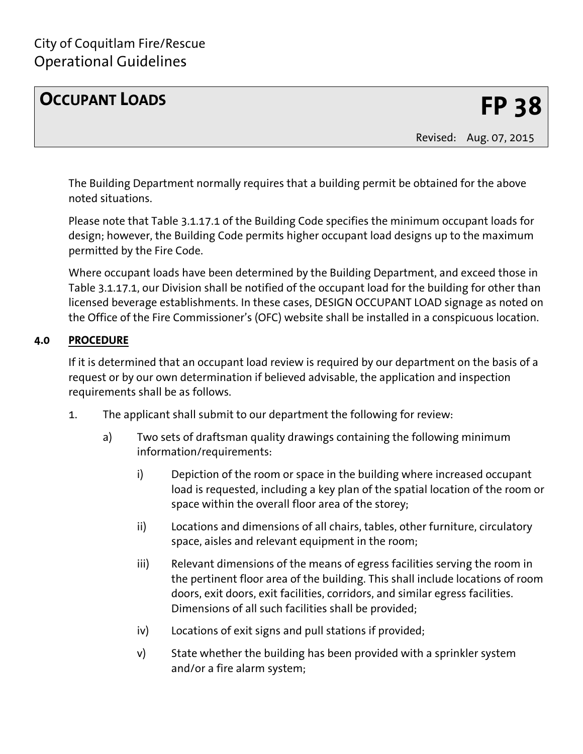Revised: Aug. 07, 2015

The Building Department normally requires that a building permit be obtained for the above noted situations.

Please note that Table 3.1.17.1 of the Building Code specifies the minimum occupant loads for design; however, the Building Code permits higher occupant load designs up to the maximum permitted by the Fire Code.

Where occupant loads have been determined by the Building Department, and exceed those in Table 3.1.17.1, our Division shall be notified of the occupant load for the building for other than licensed beverage establishments. In these cases, DESIGN OCCUPANT LOAD signage as noted on the Office of the Fire Commissioner's (OFC) website shall be installed in a conspicuous location.

### **4.0 PROCEDURE**

If it is determined that an occupant load review is required by our department on the basis of a request or by our own determination if believed advisable, the application and inspection requirements shall be as follows.

- 1. The applicant shall submit to our department the following for review:
	- a) Two sets of draftsman quality drawings containing the following minimum information/requirements:
		- i) Depiction of the room or space in the building where increased occupant load is requested, including a key plan of the spatial location of the room or space within the overall floor area of the storey;
		- ii) Locations and dimensions of all chairs, tables, other furniture, circulatory space, aisles and relevant equipment in the room;
		- iii) Relevant dimensions of the means of egress facilities serving the room in the pertinent floor area of the building. This shall include locations of room doors, exit doors, exit facilities, corridors, and similar egress facilities. Dimensions of all such facilities shall be provided;
		- iv) Locations of exit signs and pull stations if provided;
		- v) State whether the building has been provided with a sprinkler system and/or a fire alarm system;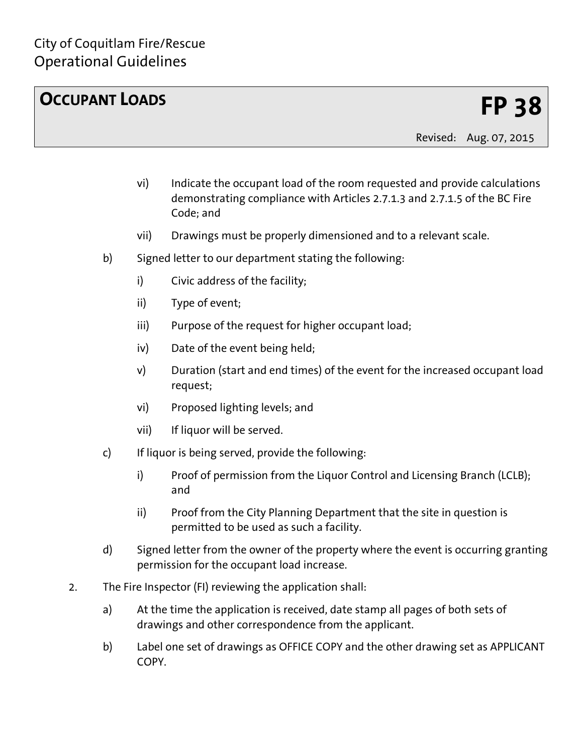Revised: Aug. 07, 2015

- vi) Indicate the occupant load of the room requested and provide calculations demonstrating compliance with Articles 2.7.1.3 and 2.7.1.5 of the BC Fire Code; and
- vii) Drawings must be properly dimensioned and to a relevant scale.
- b) Signed letter to our department stating the following:
	- i) Civic address of the facility;
	- ii) Type of event;
	- iii) Purpose of the request for higher occupant load;
	- iv) Date of the event being held;
	- v) Duration (start and end times) of the event for the increased occupant load request;
	- vi) Proposed lighting levels; and
	- vii) If liquor will be served.
- c) If liquor is being served, provide the following:
	- i) Proof of permission from the Liquor Control and Licensing Branch (LCLB); and
	- ii) Proof from the City Planning Department that the site in question is permitted to be used as such a facility.
- d) Signed letter from the owner of the property where the event is occurring granting permission for the occupant load increase.
- 2. The Fire Inspector (FI) reviewing the application shall:
	- a) At the time the application is received, date stamp all pages of both sets of drawings and other correspondence from the applicant.
	- b) Label one set of drawings as OFFICE COPY and the other drawing set as APPLICANT **COPY**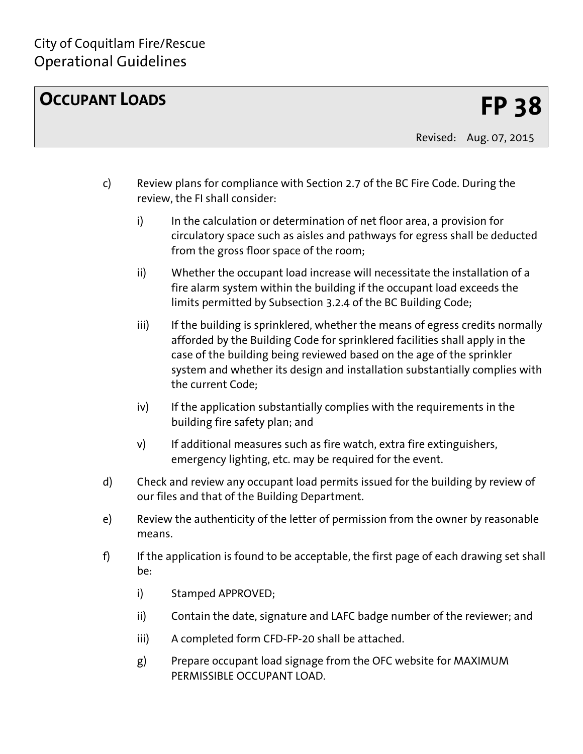Revised: Aug. 07, 2015

- c) Review plans for compliance with Section 2.7 of the BC Fire Code. During the review, the FI shall consider:
	- i) In the calculation or determination of net floor area, a provision for circulatory space such as aisles and pathways for egress shall be deducted from the gross floor space of the room;
	- ii) Whether the occupant load increase will necessitate the installation of a fire alarm system within the building if the occupant load exceeds the limits permitted by Subsection 3.2.4 of the BC Building Code;
	- iii) If the building is sprinklered, whether the means of egress credits normally afforded by the Building Code for sprinklered facilities shall apply in the case of the building being reviewed based on the age of the sprinkler system and whether its design and installation substantially complies with the current Code;
	- iv) If the application substantially complies with the requirements in the building fire safety plan; and
	- v) If additional measures such as fire watch, extra fire extinguishers, emergency lighting, etc. may be required for the event.
- d) Check and review any occupant load permits issued for the building by review of our files and that of the Building Department.
- e) Review the authenticity of the letter of permission from the owner by reasonable means.
- f) If the application is found to be acceptable, the first page of each drawing set shall be:
	- i) Stamped APPROVED;
	- ii) Contain the date, signature and LAFC badge number of the reviewer; and
	- iii) A completed form CFD-FP-20 shall be attached.
	- g) Prepare occupant load signage from the OFC website for MAXIMUM PERMISSIBLE OCCUPANT LOAD.